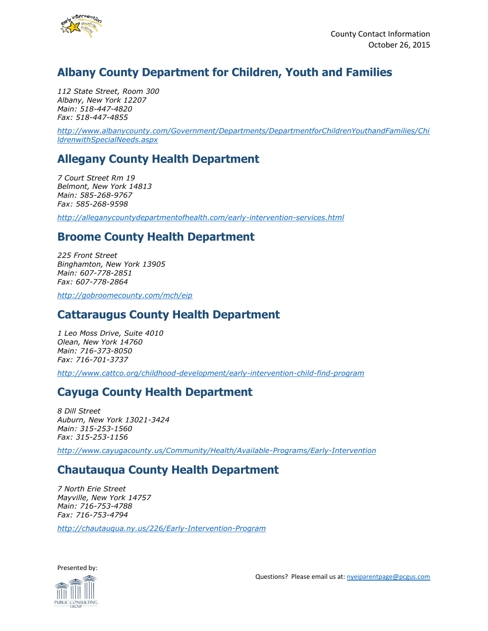

# **Albany County Department for Children, Youth and Families**

*112 State Street, Room 300 Albany, New York 12207 Main: 518-447-4820 Fax: 518-447-4855*

*[http://www.albanycounty.com/Government/Departments/DepartmentforChildrenYouthandFamilies/Chi](http://www.albanycounty.com/Government/Departments/DepartmentforChildrenYouthandFamilies/ChildrenwithSpecialNeeds.aspx) [ldrenwithSpecialNeeds.aspx](http://www.albanycounty.com/Government/Departments/DepartmentforChildrenYouthandFamilies/ChildrenwithSpecialNeeds.aspx)*

#### **Allegany County Health Department**

*7 Court Street Rm 19 Belmont, New York 14813 Main: 585-268-9767 Fax: 585-268-9598*

*<http://alleganycountydepartmentofhealth.com/early-intervention-services.html>*

#### **Broome County Health Department**

*225 Front Street Binghamton, New York 13905 Main: 607-778-2851 Fax: 607-778-2864*

*<http://gobroomecounty.com/mch/eip>*

#### **Cattaraugus County Health Department**

*1 Leo Moss Drive, Suite 4010 Olean, New York 14760 Main: 716-373-8050 Fax: 716-701-3737*

*<http://www.cattco.org/childhood-development/early-intervention-child-find-program>*

#### **Cayuga County Health Department**

*8 Dill Street Auburn, New York 13021-3424 Main: 315-253-1560 Fax: 315-253-1156*

*<http://www.cayugacounty.us/Community/Health/Available-Programs/Early-Intervention>*

#### **Chautauqua County Health Department**

*7 North Erie Street Mayville, New York 14757 Main: 716-753-4788 Fax: 716-753-4794*

*<http://chautauqua.ny.us/226/Early-Intervention-Program>*

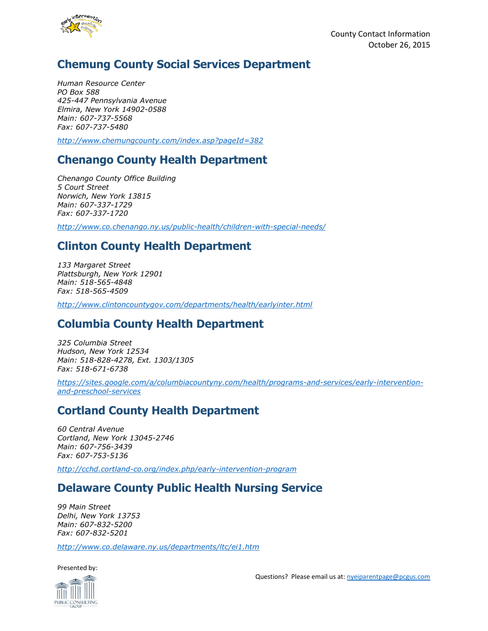

# **Chemung County Social Services Department**

*Human Resource Center PO Box 588 425-447 Pennsylvania Avenue Elmira, New York 14902-0588 Main: 607-737-5568 Fax: 607-737-5480*

*<http://www.chemungcounty.com/index.asp?pageId=382>*

### **Chenango County Health Department**

*Chenango County Office Building 5 Court Street Norwich, New York 13815 Main: 607-337-1729 Fax: 607-337-1720*

*<http://www.co.chenango.ny.us/public-health/children-with-special-needs/>*

# **Clinton County Health Department**

*133 Margaret Street Plattsburgh, New York 12901 Main: 518-565-4848 Fax: 518-565-4509*

*<http://www.clintoncountygov.com/departments/health/earlyinter.html>*

# **Columbia County Health Department**

*325 Columbia Street Hudson, New York 12534 Main: 518-828-4278, Ext. 1303/1305 Fax: 518-671-6738*

*[https://sites.google.com/a/columbiacountyny.com/health/programs-and-services/early-intervention](https://sites.google.com/a/columbiacountyny.com/health/programs-and-services/early-intervention-and-preschool-services)[and-preschool-services](https://sites.google.com/a/columbiacountyny.com/health/programs-and-services/early-intervention-and-preschool-services)*

# **Cortland County Health Department**

*60 Central Avenue Cortland, New York 13045-2746 Main: 607-756-3439 Fax: 607-753-5136*

*<http://cchd.cortland-co.org/index.php/early-intervention-program>*

# **Delaware County Public Health Nursing Service**

*99 Main Street Delhi, New York 13753 Main: 607-832-5200 Fax: 607-832-5201*

*<http://www.co.delaware.ny.us/departments/ltc/ei1.htm>*

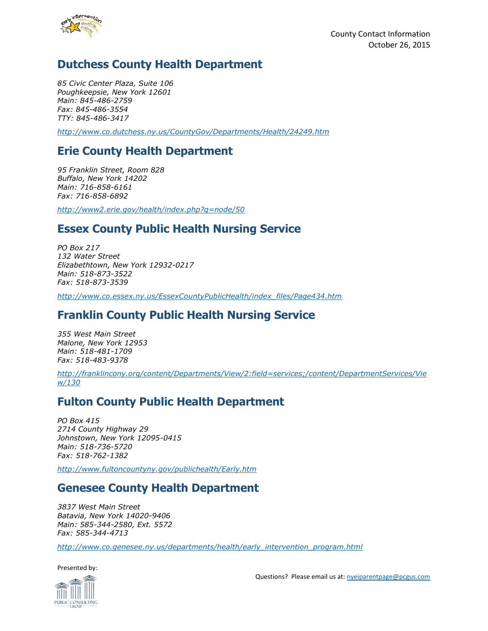

# **Dutchess County Health Department**

*85 Civic Center Plaza, Suite 106 Poughkeepsie, New York 12601 Main: 845-486-2759 Fax: 845-486-3554 TTY: 845-486-3417*

*<http://www.co.dutchess.ny.us/CountyGov/Departments/Health/24249.htm>*

# **Erie County Health Department**

*95 Franklin Street, Room 828 Buffalo, New York 14202 Main: 716-858-6161 Fax: 716-858-6892*

*<http://www2.erie.gov/health/index.php?q=node/50>*

### **Essex County Public Health Nursing Service**

*PO Box 217 132 Water Street Elizabethtown, New York 12932-0217 Main: 518-873-3522 Fax: 518-873-3539*

*[http://www.co.essex.ny.us/EssexCountyPublicHealth/index\\_files/Page434.htm](http://www.co.essex.ny.us/EssexCountyPublicHealth/index_files/Page434.htm)*

### **Franklin County Public Health Nursing Service**

*355 West Main Street Malone, New York 12953 Main: 518-481-1709 Fax: 518-483-9378*

*[http://franklincony.org/content/Departments/View/2:field=services;/content/DepartmentServices/Vie](http://franklincony.org/content/Departments/View/2:field=services;/content/DepartmentServices/View/130) [w/130](http://franklincony.org/content/Departments/View/2:field=services;/content/DepartmentServices/View/130)*

# **Fulton County Public Health Department**

*PO Box 415 2714 County Highway 29 Johnstown, New York 12095-0415 Main: 518-736-5720 Fax: 518-762-1382*

*<http://www.fultoncountyny.gov/publichealth/Early.htm>*

#### **Genesee County Health Department**

*3837 West Main Street Batavia, New York 14020-9406 Main: 585-344-2580, Ext. 5572 Fax: 585-344-4713*

*[http://www.co.genesee.ny.us/departments/health/early\\_intervention\\_program.html](http://www.co.genesee.ny.us/departments/health/early_intervention_program.html)*



Questions? Please email us at[: nyeiparentpage@pcgus.com](mailto:nyeiparentpage@pcgus.com)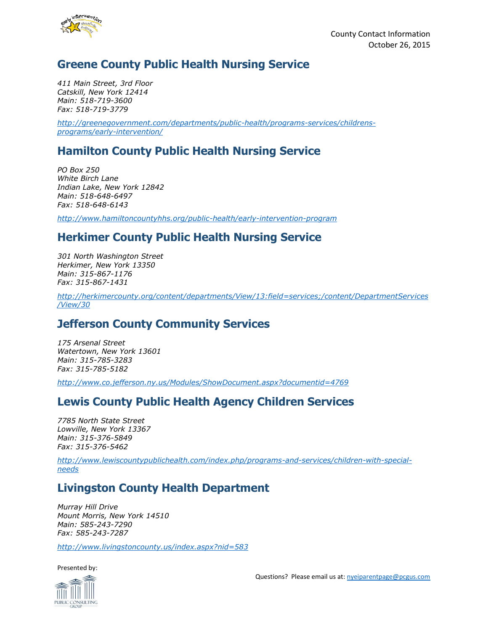

# **Greene County Public Health Nursing Service**

*411 Main Street, 3rd Floor Catskill, New York 12414 Main: 518-719-3600 Fax: 518-719-3779*

*[http://greenegovernment.com/departments/public-health/programs-services/childrens](http://greenegovernment.com/departments/public-health/programs-services/childrens-programs/early-intervention/)[programs/early-intervention/](http://greenegovernment.com/departments/public-health/programs-services/childrens-programs/early-intervention/)*

# **Hamilton County Public Health Nursing Service**

*PO Box 250 White Birch Lane Indian Lake, New York 12842 Main: 518-648-6497 Fax: 518-648-6143*

*<http://www.hamiltoncountyhhs.org/public-health/early-intervention-program>*

# **Herkimer County Public Health Nursing Service**

*301 North Washington Street Herkimer, New York 13350 Main: 315-867-1176 Fax: 315-867-1431*

*[http://herkimercounty.org/content/departments/View/13:field=services;/content/DepartmentServices](http://herkimercounty.org/content/departments/View/13:field=services;/content/DepartmentServices/View/30) [/View/30](http://herkimercounty.org/content/departments/View/13:field=services;/content/DepartmentServices/View/30)*

# **Jefferson County Community Services**

*175 Arsenal Street Watertown, New York 13601 Main: 315-785-3283 Fax: 315-785-5182*

*<http://www.co.jefferson.ny.us/Modules/ShowDocument.aspx?documentid=4769>*

# **Lewis County Public Health Agency Children Services**

*7785 North State Street Lowville, New York 13367 Main: 315-376-5849 Fax: 315-376-5462*

*[http://www.lewiscountypublichealth.com/index.php/programs-and-services/children-with-special](http://www.lewiscountypublichealth.com/index.php/programs-and-services/children-with-special-needs)[needs](http://www.lewiscountypublichealth.com/index.php/programs-and-services/children-with-special-needs)*

# **Livingston County Health Department**

*Murray Hill Drive Mount Morris, New York 14510 Main: 585-243-7290 Fax: 585-243-7287*

*<http://www.livingstoncounty.us/index.aspx?nid=583>*

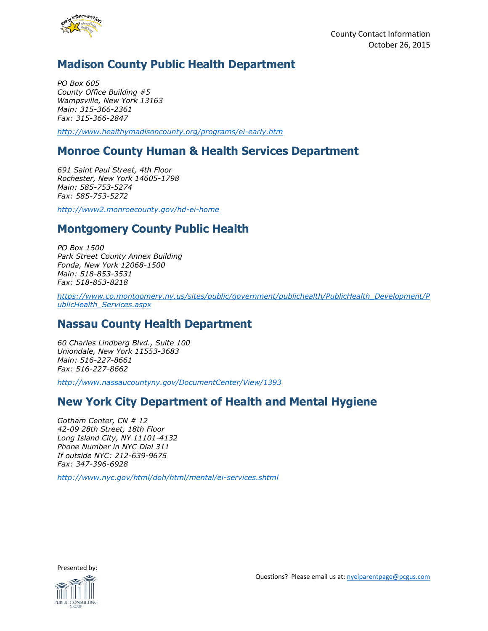

# **Madison County Public Health Department**

*PO Box 605 County Office Building #5 Wampsville, New York 13163 Main: 315-366-2361 Fax: 315-366-2847*

*<http://www.healthymadisoncounty.org/programs/ei-early.htm>*

### **Monroe County Human & Health Services Department**

*691 Saint Paul Street, 4th Floor Rochester, New York 14605-1798 Main: 585-753-5274 Fax: 585-753-5272*

*<http://www2.monroecounty.gov/hd-ei-home>*

### **Montgomery County Public Health**

*PO Box 1500 Park Street County Annex Building Fonda, New York 12068-1500 Main: 518-853-3531 Fax: 518-853-8218*

*[https://www.co.montgomery.ny.us/sites/public/government/publichealth/PublicHealth\\_Development/P](https://www.co.montgomery.ny.us/sites/public/government/publichealth/PublicHealth_Development/PublicHealth_Services.aspx) [ublicHealth\\_Services.aspx](https://www.co.montgomery.ny.us/sites/public/government/publichealth/PublicHealth_Development/PublicHealth_Services.aspx)*

#### **Nassau County Health Department**

*60 Charles Lindberg Blvd., Suite 100 Uniondale, New York 11553-3683 Main: 516-227-8661 Fax: 516-227-8662*

*<http://www.nassaucountyny.gov/DocumentCenter/View/1393>*

#### **New York City Department of Health and Mental Hygiene**

*Gotham Center, CN # 12 42-09 28th Street, 18th Floor Long Island City, NY 11101-4132 Phone Number in NYC Dial 311 If outside NYC: 212-639-9675 Fax: 347-396-6928*

*<http://www.nyc.gov/html/doh/html/mental/ei-services.shtml>*

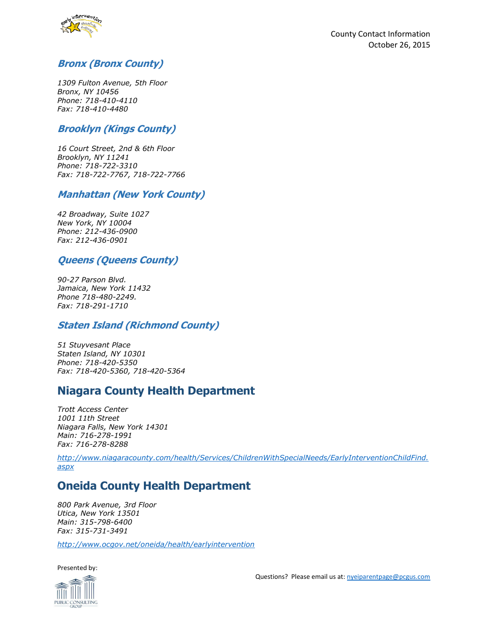

#### **Bronx (Bronx County)**

*1309 Fulton Avenue, 5th Floor Bronx, NY 10456 Phone: 718-410-4110 Fax: 718-410-4480*

#### **Brooklyn (Kings County)**

*16 Court Street, 2nd & 6th Floor Brooklyn, NY 11241 Phone: 718-722-3310 Fax: 718-722-7767, 718-722-7766*

#### **Manhattan (New York County)**

*42 Broadway, Suite 1027 New York, NY 10004 Phone: 212-436-0900 Fax: 212-436-0901*

#### **Queens (Queens County)**

*90-27 Parson Blvd. Jamaica, New York 11432 Phone 718-480-2249. Fax: 718-291-1710*

#### **Staten Island (Richmond County)**

*51 Stuyvesant Place Staten Island, NY 10301 Phone: 718-420-5350 Fax: 718-420-5360, 718-420-5364*

#### **Niagara County Health Department**

*Trott Access Center 1001 11th Street Niagara Falls, New York 14301 Main: 716-278-1991 Fax: 716-278-8288*

*[http://www.niagaracounty.com/health/Services/ChildrenWithSpecialNeeds/EarlyInterventionChildFind.](http://www.niagaracounty.com/health/Services/ChildrenWithSpecialNeeds/EarlyInterventionChildFind.aspx) [aspx](http://www.niagaracounty.com/health/Services/ChildrenWithSpecialNeeds/EarlyInterventionChildFind.aspx)*

# **Oneida County Health Department**

*800 Park Avenue, 3rd Floor Utica, New York 13501 Main: 315-798-6400 Fax: 315-731-3491*

*<http://www.ocgov.net/oneida/health/earlyintervention>*

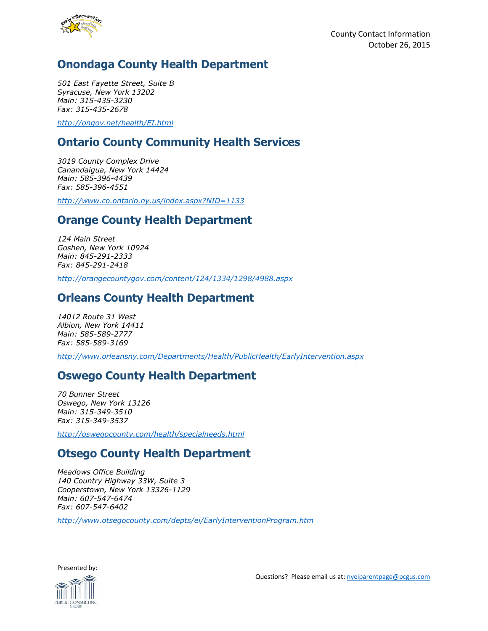

# **Onondaga County Health Department**

*501 East Fayette Street, Suite B Syracuse, New York 13202 Main: 315-435-3230 Fax: 315-435-2678*

*<http://ongov.net/health/EI.html>*

# **Ontario County Community Health Services**

*3019 County Complex Drive Canandaigua, New York 14424 Main: 585-396-4439 Fax: 585-396-4551*

*<http://www.co.ontario.ny.us/index.aspx?NID=1133>*

### **Orange County Health Department**

*124 Main Street Goshen, New York 10924 Main: 845-291-2333 Fax: 845-291-2418*

*<http://orangecountygov.com/content/124/1334/1298/4988.aspx>*

#### **Orleans County Health Department**

*14012 Route 31 West Albion, New York 14411 Main: 585-589-2777 Fax: 585-589-3169*

*<http://www.orleansny.com/Departments/Health/PublicHealth/EarlyIntervention.aspx>*

#### **Oswego County Health Department**

*70 Bunner Street Oswego, New York 13126 Main: 315-349-3510 Fax: 315-349-3537*

*<http://oswegocounty.com/health/specialneeds.html>*

# **Otsego County Health Department**

*Meadows Office Building 140 Country Highway 33W, Suite 3 Cooperstown, New York 13326-1129 Main: 607-547-6474 Fax: 607-547-6402*

*<http://www.otsegocounty.com/depts/ei/EarlyInterventionProgram.htm>*

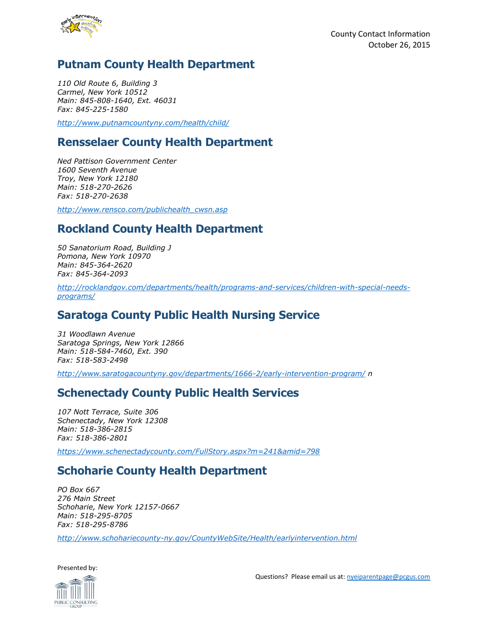

# **Putnam County Health Department**

*110 Old Route 6, Building 3 Carmel, New York 10512 Main: 845-808-1640, Ext. 46031 Fax: 845-225-1580*

*<http://www.putnamcountyny.com/health/child/>*

#### **Rensselaer County Health Department**

*Ned Pattison Government Center 1600 Seventh Avenue Troy, New York 12180 Main: 518-270-2626 Fax: 518-270-2638*

*[http://www.rensco.com/publichealth\\_cwsn.asp](http://www.rensco.com/publichealth_cwsn.asp)*

### **Rockland County Health Department**

*50 Sanatorium Road, Building J Pomona, New York 10970 Main: 845-364-2620 Fax: 845-364-2093*

*[http://rocklandgov.com/departments/health/programs-and-services/children-with-special-needs](http://rocklandgov.com/departments/health/programs-and-services/children-with-special-needs-programs/)[programs/](http://rocklandgov.com/departments/health/programs-and-services/children-with-special-needs-programs/)*

#### **Saratoga County Public Health Nursing Service**

*31 Woodlawn Avenue Saratoga Springs, New York 12866 Main: 518-584-7460, Ext. 390 Fax: 518-583-2498*

*<http://www.saratogacountyny.gov/departments/1666-2/early-intervention-program/> n*

#### **Schenectady County Public Health Services**

*107 Nott Terrace, Suite 306 Schenectady, New York 12308 Main: 518-386-2815 Fax: 518-386-2801*

*<https://www.schenectadycounty.com/FullStory.aspx?m=241&amid=798>*

# **Schoharie County Health Department**

*PO Box 667 276 Main Street Schoharie, New York 12157-0667 Main: 518-295-8705 Fax: 518-295-8786*

*<http://www.schohariecounty-ny.gov/CountyWebSite/Health/earlyintervention.html>*

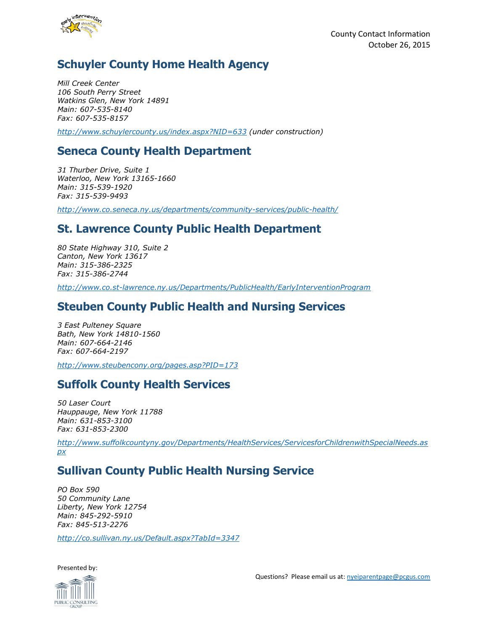

# **Schuyler County Home Health Agency**

*Mill Creek Center 106 South Perry Street Watkins Glen, New York 14891 Main: 607-535-8140 Fax: 607-535-8157*

*<http://www.schuylercounty.us/index.aspx?NID=633> (under construction)*

# **Seneca County Health Department**

*31 Thurber Drive, Suite 1 Waterloo, New York 13165-1660 Main: 315-539-1920 Fax: 315-539-9493*

*<http://www.co.seneca.ny.us/departments/community-services/public-health/>*

### **St. Lawrence County Public Health Department**

*80 State Highway 310, Suite 2 Canton, New York 13617 Main: 315-386-2325 Fax: 315-386-2744*

*<http://www.co.st-lawrence.ny.us/Departments/PublicHealth/EarlyInterventionProgram>*

#### **Steuben County Public Health and Nursing Services**

*3 East Pulteney Square Bath, New York 14810-1560 Main: 607-664-2146 Fax: 607-664-2197*

*<http://www.steubencony.org/pages.asp?PID=173>*

# **Suffolk County Health Services**

*50 Laser Court Hauppauge, New York 11788 Main: 631-853-3100 Fax: 631-853-2300*

*[http://www.suffolkcountyny.gov/Departments/HealthServices/ServicesforChildrenwithSpecialNeeds.as](http://www.suffolkcountyny.gov/Departments/HealthServices/ServicesforChildrenwithSpecialNeeds.aspx) [px](http://www.suffolkcountyny.gov/Departments/HealthServices/ServicesforChildrenwithSpecialNeeds.aspx)*

# **Sullivan County Public Health Nursing Service**

*PO Box 590 50 Community Lane Liberty, New York 12754 Main: 845-292-5910 Fax: 845-513-2276*

*<http://co.sullivan.ny.us/Default.aspx?TabId=3347>*

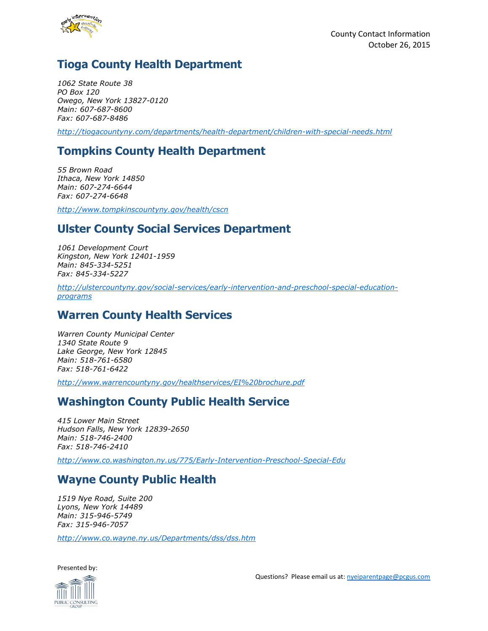

# **Tioga County Health Department**

*1062 State Route 38 PO Box 120 Owego, New York 13827-0120 Main: 607-687-8600 Fax: 607-687-8486*

*<http://tiogacountyny.com/departments/health-department/children-with-special-needs.html>*

# **Tompkins County Health Department**

*55 Brown Road Ithaca, New York 14850 Main: 607-274-6644 Fax: 607-274-6648*

*<http://www.tompkinscountyny.gov/health/cscn>*

### **Ulster County Social Services Department**

*1061 Development Court Kingston, New York 12401-1959 Main: 845-334-5251 Fax: 845-334-5227*

*[http://ulstercountyny.gov/social-services/early-intervention-and-preschool-special-education](http://ulstercountyny.gov/social-services/early-intervention-and-preschool-special-education-programs)[programs](http://ulstercountyny.gov/social-services/early-intervention-and-preschool-special-education-programs)*

#### **Warren County Health Services**

*Warren County Municipal Center 1340 State Route 9 Lake George, New York 12845 Main: 518-761-6580 Fax: 518-761-6422*

*<http://www.warrencountyny.gov/healthservices/EI%20brochure.pdf>*

# **Washington County Public Health Service**

*415 Lower Main Street Hudson Falls, New York 12839-2650 Main: 518-746-2400 Fax: 518-746-2410*

*<http://www.co.washington.ny.us/775/Early-Intervention-Preschool-Special-Edu>*

# **Wayne County Public Health**

*1519 Nye Road, Suite 200 Lyons, New York 14489 Main: 315-946-5749 Fax: 315-946-7057*

*<http://www.co.wayne.ny.us/Departments/dss/dss.htm>*